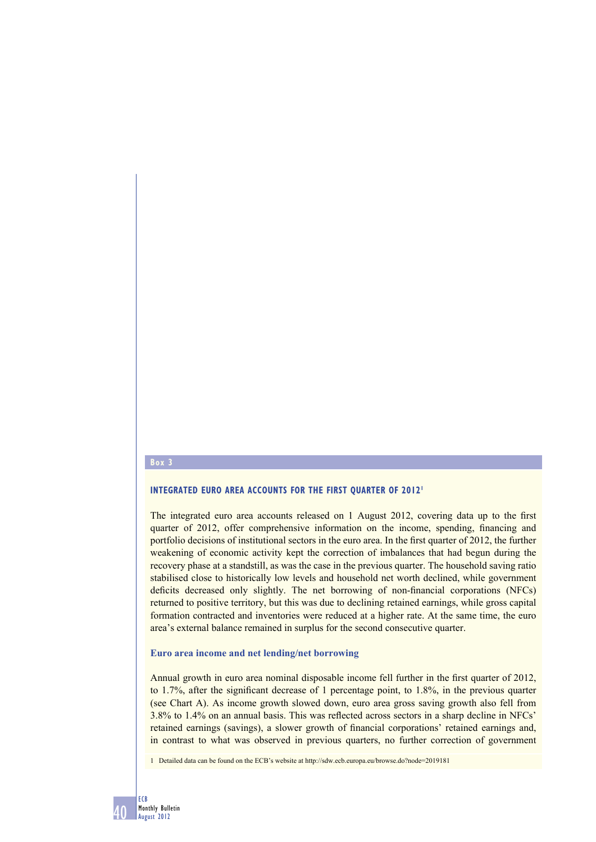#### **Box 3**

## **INTEGRATED EURO AREA ACCOUNTS FOR THE FIRST OUARTER OF 2012<sup>1</sup>**

The integrated euro area accounts released on  $1$  August 2012, covering data up to the first quarter of 2012, offer comprehensive information on the income, spending, financing and portfolio decisions of institutional sectors in the euro area. In the first quarter of 2012, the further weakening of economic activity kept the correction of imbalances that had begun during the recovery phase at a standstill, as was the case in the previous quarter. The household saving ratio stabilised close to historically low levels and household net worth declined, while government deficits decreased only slightly. The net borrowing of non-financial corporations (NFCs) returned to positive territory, but this was due to declining retained earnings, while gross capital formation contracted and inventories were reduced at a higher rate. At the same time, the euro area's external balance remained in surplus for the second consecutive quarter.

#### **Euro area income and net lending/net borrowing**

Annual growth in euro area nominal disposable income fell further in the first quarter of 2012, to 1.7%, after the significant decrease of 1 percentage point, to 1.8%, in the previous quarter (see Chart A). As income growth slowed down, euro area gross saving growth also fell from 3.8% to 1.4% on an annual basis. This was reflected across sectors in a sharp decline in NFCs' retained earnings (savings), a slower growth of financial corporations' retained earnings and, in contrast to what was observed in previous quarters, no further correction of government

1 Detailed data can be found on the ECB's website at http://sdw.ecb.europa.eu/browse.do?node=2019181

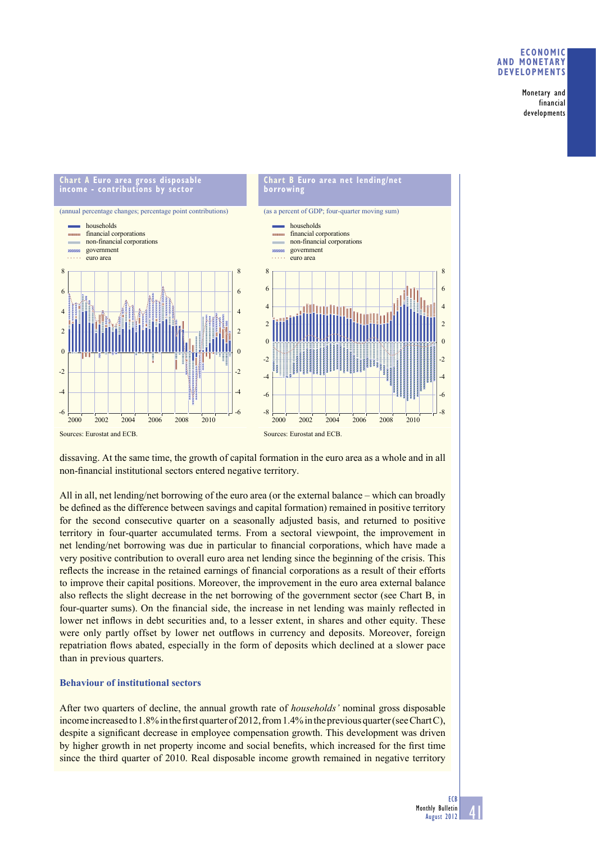## **ECONOMIC AND MONETARY DEVELOPMENTS**

Monetary and financial developments



dissaving. At the same time, the growth of capital formation in the euro area as a whole and in all non-financial institutional sectors entered negative territory.

All in all, net lending/net borrowing of the euro area (or the external balance – which can broadly be defined as the difference between savings and capital formation) remained in positive territory for the second consecutive quarter on a seasonally adjusted basis, and returned to positive territory in four-quarter accumulated terms. From a sectoral viewpoint, the improvement in net lending/net borrowing was due in particular to financial corporations, which have made a very positive contribution to overall euro area net lending since the beginning of the crisis. This reflects the increase in the retained earnings of financial corporations as a result of their efforts to improve their capital positions. Moreover, the improvement in the euro area external balance also reflects the slight decrease in the net borrowing of the government sector (see Chart B, in four-quarter sums). On the financial side, the increase in net lending was mainly reflected in lower net inflows in debt securities and, to a lesser extent, in shares and other equity. These were only partly offset by lower net outflows in currency and deposits. Moreover, foreign repatriation flows abated, especially in the form of deposits which declined at a slower pace than in previous quarters.

## **Behaviour of institutional sectors**

After two quarters of decline, the annual growth rate of *households'* nominal gross disposable income increased to 1.8% in the first quarter of 2012, from 1.4% in the previous quarter (see Chart C), despite a significant decrease in employee compensation growth. This development was driven by higher growth in net property income and social benefits, which increased for the first time since the third quarter of 2010. Real disposable income growth remained in negative territory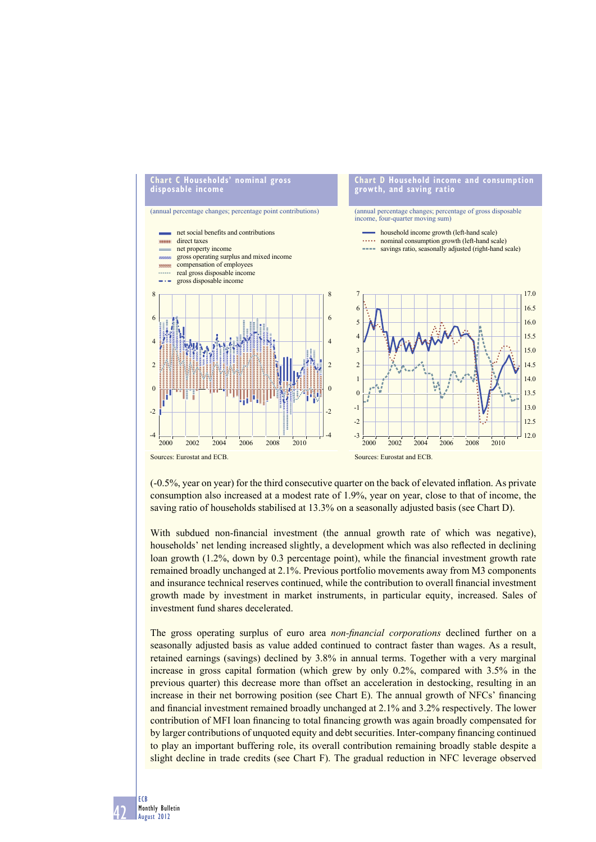

(-0.5%, year on year) for the third consecutive quarter on the back of elevated inflation. As private consumption also increased at a modest rate of 1.9%, year on year, close to that of income, the saving ratio of households stabilised at 13.3% on a seasonally adjusted basis (see Chart D).

With subdued non-financial investment (the annual growth rate of which was negative). households' net lending increased slightly, a development which was also reflected in declining loan growth  $(1.2\%$ , down by 0.3 percentage point), while the financial investment growth rate remained broadly unchanged at 2.1%. Previous portfolio movements away from M3 components and insurance technical reserves continued, while the contribution to overall financial investment growth made by investment in market instruments, in particular equity, increased. Sales of investment fund shares decelerated.

The gross operating surplus of euro area *non-financial corporations* declined further on a seasonally adjusted basis as value added continued to contract faster than wages. As a result, retained earnings (savings) declined by 3.8% in annual terms. Together with a very marginal increase in gross capital formation (which grew by only 0.2%, compared with 3.5% in the previous quarter) this decrease more than offset an acceleration in destocking, resulting in an increase in their net borrowing position (see Chart E). The annual growth of NFCs' financing and financial investment remained broadly unchanged at 2.1% and 3.2% respectively. The lower contribution of MFI loan financing to total financing growth was again broadly compensated for by larger contributions of unquoted equity and debt securities. Inter-company financing continued to play an important buffering role, its overall contribution remaining broadly stable despite a slight decline in trade credits (see Chart F). The gradual reduction in NFC leverage observed

42 ECB Monthly Bulletin August 2012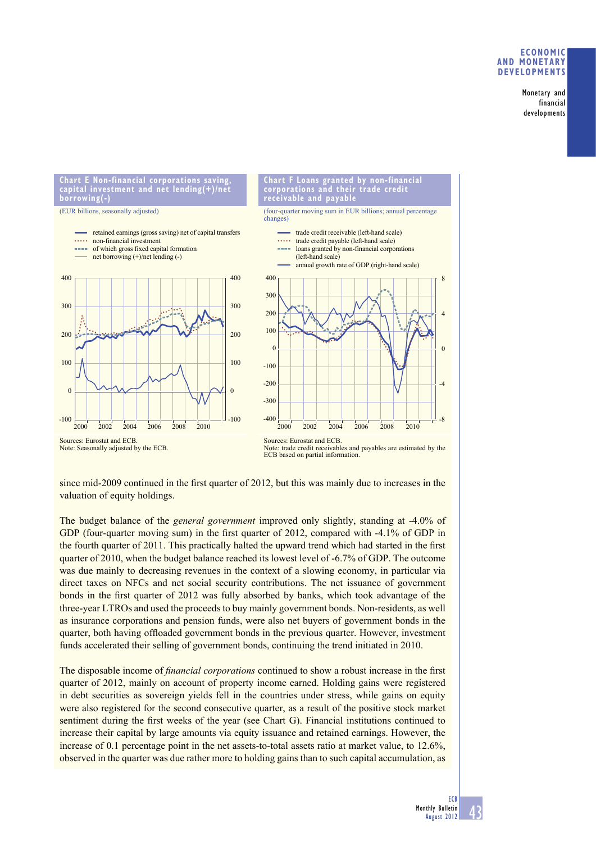## **ECONOMIC AND MONETARY DEVELOPMENTS**

Monetary and financial developments

**Chart E Non-financial corporations saving, capital investment and net lending(+)/net borrowing(-)**

(EUR billions, seasonally adjusted)





Sources: Eurostat and ECB. Note: Seasonally adjusted by the ECB. Sources: Eurostat and ECB. Note: trade credit receivables and payables are estimated by the ECB based on partial information.

since mid-2009 continued in the first quarter of 2012, but this was mainly due to increases in the valuation of equity holdings.

The budget balance of the *general government* improved only slightly, standing at -4.0% of GDP (four-quarter moving sum) in the first quarter of 2012, compared with -4.1% of GDP in the fourth quarter of 2011. This practically halted the upward trend which had started in the first quarter of 2010, when the budget balance reached its lowest level of -6.7% of GDP. The outcome was due mainly to decreasing revenues in the context of a slowing economy, in particular via direct taxes on NFCs and net social security contributions. The net issuance of government bonds in the first quarter of 2012 was fully absorbed by banks, which took advantage of the three-year LTROs and used the proceeds to buy mainly government bonds. Non-residents, as well as insurance corporations and pension funds, were also net buyers of government bonds in the quarter, both having offloaded government bonds in the previous quarter. However, investment funds accelerated their selling of government bonds, continuing the trend initiated in 2010.

The disposable income of *financial corporations* continued to show a robust increase in the first quarter of 2012, mainly on account of property income earned. Holding gains were registered in debt securities as sovereign yields fell in the countries under stress, while gains on equity were also registered for the second consecutive quarter, as a result of the positive stock market sentiment during the first weeks of the year (see Chart G). Financial institutions continued to increase their capital by large amounts via equity issuance and retained earnings. However, the increase of 0.1 percentage point in the net assets-to-total assets ratio at market value, to 12.6%, observed in the quarter was due rather more to holding gains than to such capital accumulation, as